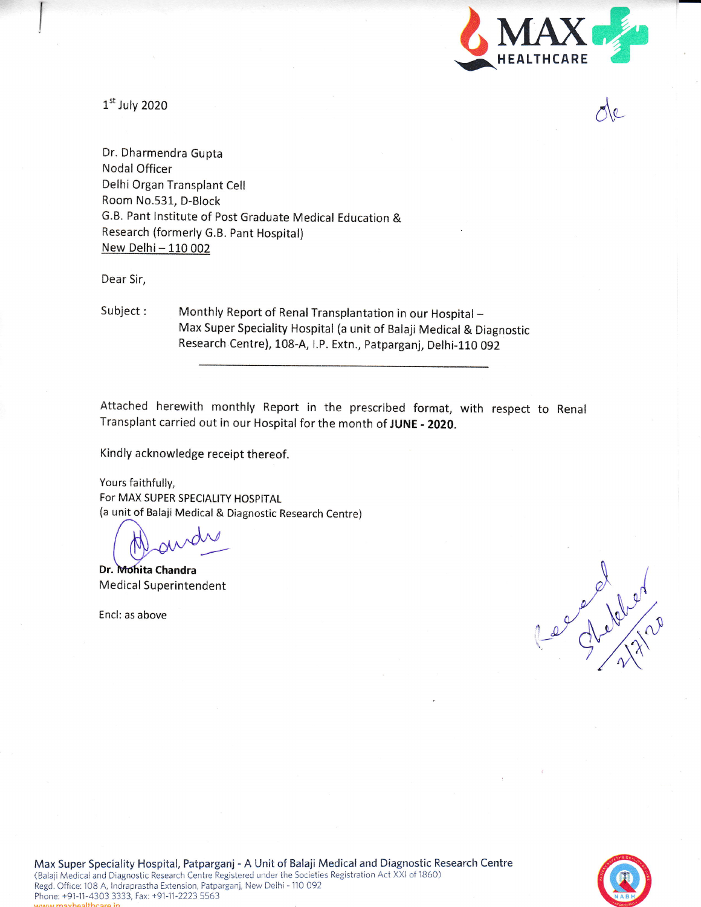

A"

 $1<sup>st</sup>$  July 2020

Dr. Dharmendra Gupta Nodal Officer Delhi 0rgan Transplant Cell Room No.531, D-Block G.B. Pant lnstitute of Post Graduate Medical Education & Research (formerly G.B. Pant Hospital) New Delhi - 110 002

Dear Sir,

Subject: Monthly Report of Renal Transplantation in our Hospital -Max Super Speciality Hospital (a unir of Balaji Medical & Diagnostic Research Centre), 108-A, I.P. Extn., Patparganj, Delhi-110 092

Attached herewith monthly Report in the prescribed format, with respect to Renal Transplant carried out in our Hospital for the month of JUNE - 2020.

Kindly acknowledge receipt thereof.

Yours faithfully, For MAX SUPER SPECIALITY HOSPITAL {a unit-of Balaji Medical & Diagnostic Research Centre)

Dr. Mohita Chandra Medical Superintendent

Encl: as above

es debited